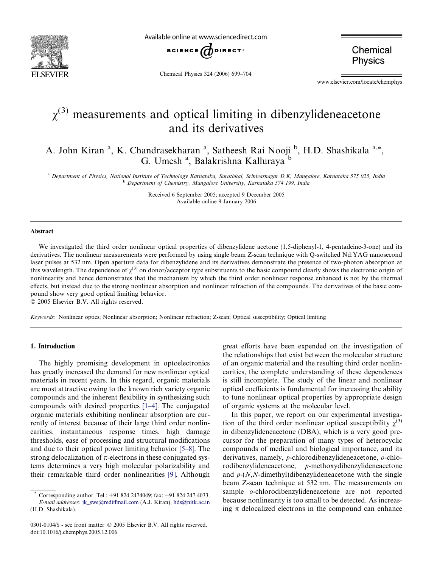

Available online at www.sciencedirect.com



Chemical Physics 324 (2006) 699–704

Chemical **Physics** 

www.elsevier.com/locate/chemphys

# $\gamma^{(3)}$  measurements and optical limiting in dibenzylideneacetone and its derivatives

A. John Kiran<sup>a</sup>, K. Chandrasekharan<sup>a</sup>, Satheesh Rai Nooji <sup>b</sup>, H.D. Shashikala<sup>a,\*</sup>, G. Umesh<sup>a</sup>, Balakrishna Kalluraya<sup>b</sup>

<sup>a</sup> Department of Physics, National Institute of Technology Karnataka, Surathkal, Srinivasnagar D.K, Mangalore, Karnataka 575 025, India <sup>b</sup> Department of Chemistry, Mangalore University, Karnataka 574 199, India

> Received 6 September 2005; accepted 9 December 2005 Available online 9 January 2006

#### Abstract

We investigated the third order nonlinear optical properties of dibenzylidene acetone (1,5-diphenyl-1, 4-pentadeine-3-one) and its derivatives. The nonlinear measurements were performed by using single beam Z-scan technique with Q-switched Nd:YAG nanosecond laser pulses at 532 nm. Open aperture data for dibenzylidene and its derivatives demonstrate the presence of two-photon absorption at this wavelength. The dependence of  $\chi^{(3)}$  on donor/acceptor type substituents to the basic compound clearly shows the electronic origin of nonlinearity and hence demonstrates that the mechanism by which the third order nonlinear response enhanced is not by the thermal effects, but instead due to the strong nonlinear absorption and nonlinear refraction of the compounds. The derivatives of the basic compound show very good optical limiting behavior.

© 2005 Elsevier B.V. All rights reserved.

Keywords: Nonlinear optics; Nonlinear absorption; Nonlinear refraction; Z-scan; Optical susceptibility; Optical limiting

## 1. Introduction

The highly promising development in optoelectronics has greatly increased the demand for new nonlinear optical materials in recent years. In this regard, organic materials are most attractive owing to the known rich variety organic compounds and the inherent flexibility in synthesizing such compounds with desired properties [\[1–4\].](#page-5-0) The conjugated organic materials exhibiting nonlinear absorption are currently of interest because of their large third order nonlinearities, instantaneous response times, high damage thresholds, ease of processing and structural modifications and due to their optical power limiting behavior [\[5–8\].](#page-5-0) The strong delocalization of  $\pi$ -electrons in these conjugated systems determines a very high molecular polarizability and their remarkable third order nonlinearities [\[9\].](#page-5-0) Although great efforts have been expended on the investigation of the relationships that exist between the molecular structure of an organic material and the resulting third order nonlinearities, the complete understanding of these dependences is still incomplete. The study of the linear and nonlinear optical coefficients is fundamental for increasing the ability to tune nonlinear optical properties by appropriate design of organic systems at the molecular level.

In this paper, we report on our experimental investigation of the third order nonlinear optical susceptibility  $\chi^{(3)}$ in dibenzylideneacetone (DBA), which is a very good precursor for the preparation of many types of heterocyclic compounds of medical and biological importance, and its derivatives, namely, p-chlorodibenzylideneacetone, o-chlorodibenzylideneacetone, p-methoxydibenzylideneacetone and  $p-(N,N$ -dimethyl)dibenzylideneacetone with the single beam Z-scan technique at 532 nm. The measurements on sample o-chlorodibenzylideneacetone are not reported because nonlinearity is too small to be detected. As increasing  $\pi$  delocalized electrons in the compound can enhance

Corresponding author. Tel.: +91 824 2474049; fax: +91 824 247 4033. E-mail addresses: [jk\\_swe@rediffmail.com](mailto:jk_swe@rediffmail.com) (A.J. Kiran), [hds@nitk.ac.in](mailto:hds@nitk.ac.in ) (H.D. Shashikala).

<sup>0301-0104/\$ -</sup> see front matter © 2005 Elsevier B.V. All rights reserved. doi:10.1016/j.chemphys.2005.12.006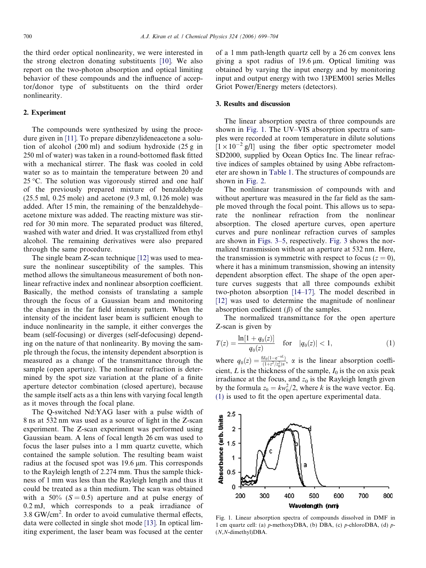the third order optical nonlinearity, we were interested in the strong electron donating substituents [\[10\].](#page-5-0) We also report on the two-photon absorption and optical limiting behavior of these compounds and the influence of acceptor/donor type of substituents on the third order nonlinearity.

### 2. Experiment

The compounds were synthesized by using the procedure given in [\[11\]](#page-5-0). To prepare dibenzylideneacetone a solution of alcohol (200 ml) and sodium hydroxide (25 g in 250 ml of water) was taken in a round-bottomed flask fitted with a mechanical stirrer. The flask was cooled in cold water so as to maintain the temperature between 20 and  $25^{\circ}$ C. The solution was vigorously stirred and one half of the previously prepared mixture of benzaldehyde (25.5 ml, 0.25 mole) and acetone (9.3 ml, 0.126 mole) was added. After 15 min, the remaining of the benzaldehyde– acetone mixture was added. The reacting mixture was stirred for 30 min more. The separated product was filtered, washed with water and dried. It was crystallized from ethyl alcohol. The remaining derivatives were also prepared through the same procedure.

The single beam Z-scan technique [\[12\]](#page-5-0) was used to measure the nonlinear susceptibility of the samples. This method allows the simultaneous measurement of both nonlinear refractive index and nonlinear absorption coefficient. Basically, the method consists of translating a sample through the focus of a Gaussian beam and monitoring the changes in the far field intensity pattern. When the intensity of the incident laser beam is sufficient enough to induce nonlinearity in the sample, it either converges the beam (self-focusing) or diverges (self-defocusing) depending on the nature of that nonlinearity. By moving the sample through the focus, the intensity dependent absorption is measured as a change of the transmittance through the sample (open aperture). The nonlinear refraction is determined by the spot size variation at the plane of a finite aperture detector combination (closed aperture), because the sample itself acts as a thin lens with varying focal length as it moves through the focal plane.

The Q-switched Nd:YAG laser with a pulse width of 8 ns at 532 nm was used as a source of light in the Z-scan experiment. The Z-scan experiment was performed using Gaussian beam. A lens of focal length 26 cm was used to focus the laser pulses into a 1 mm quartz cuvette, which contained the sample solution. The resulting beam waist radius at the focused spot was 19.6 µm. This corresponds to the Rayleigh length of 2.274 mm. Thus the sample thickness of 1 mm was less than the Rayleigh length and thus it could be treated as a thin medium. The scan was obtained with a 50% ( $S = 0.5$ ) aperture and at pulse energy of 0.2 mJ, which corresponds to a peak irradiance of 3.8 GW/cm<sup>2</sup>. In order to avoid cumulative thermal effects, data were collected in single shot mode [\[13\]](#page-5-0). In optical limiting experiment, the laser beam was focused at the center of a 1 mm path-length quartz cell by a 26 cm convex lens giving a spot radius of  $19.6 \mu m$ . Optical limiting was obtained by varying the input energy and by monitoring input and output energy with two 13PEM001 series Melles Griot Power/Energy meters (detectors).

### 3. Results and discussion

The linear absorption spectra of three compounds are shown in Fig. 1. The UV–VIS absorption spectra of samples were recorded at room temperature in dilute solutions  $[1 \times 10^{-2} \text{ g/l}]$  using the fiber optic spectrometer model SD2000, supplied by Ocean Optics Inc. The linear refractive indices of samples obtained by using Abbe refractometer are shown in [Table 1](#page-2-0). The structures of compounds are shown in [Fig. 2](#page-2-0).

The nonlinear transmission of compounds with and without aperture was measured in the far field as the sample moved through the focal point. This allows us to separate the nonlinear refraction from the nonlinear absorption. The closed aperture curves, open aperture curves and pure nonlinear refraction curves of samples are shown in [Figs. 3–5](#page-2-0), respectively. [Fig. 3](#page-2-0) shows the normalized transmission without an aperture at 532 nm. Here, the transmission is symmetric with respect to focus ( $z = 0$ ), where it has a minimum transmission, showing an intensity dependent absorption effect. The shape of the open aperture curves suggests that all three compounds exhibit two-photon absorption [\[14–17\].](#page-5-0) The model described in [\[12\]](#page-5-0) was used to determine the magnitude of nonlinear absorption coefficient  $(\beta)$  of the samples.

The normalized transmittance for the open aperture Z-scan is given by

$$
T(z) = \frac{\ln[1 + q_0(z)]}{q_0(z)} \quad \text{for} \quad |q_0(z)| < 1,\tag{1}
$$

where  $q_0(z) = \frac{BI_0(1-e^{-\alpha L})}{(1+z^2/z_0^2)\alpha}$  $\frac{\delta M_0(1-e^{-\alpha x})}{(1+z^2/z_0^2)x}$ ,  $\alpha$  is the linear absorption coefficient, L is the thickness of the sample,  $I_0$  is the on axis peak irradiance at the focus, and  $z_0$  is the Rayleigh length given by the formula  $z_0 = kw_0^2/2$ , where k is the wave vector. Eq. (1) is used to fit the open aperture experimental data.



Fig. 1. Linear absorption spectra of compounds dissolved in DMF in 1 cm quartz cell: (a)  $p$ -methoxyDBA, (b) DBA, (c)  $p$ -chloroDBA, (d)  $p$ -(N,N-dimethyl)DBA.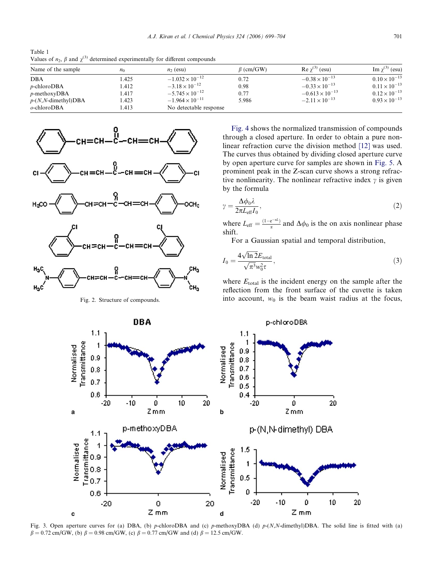<span id="page-2-0"></span>Table 1 Values of  $n_2$ ,  $\beta$  and  $\chi^{(3)}$  determined experimentally for different compounds

| Name of the sample      | $n_0$ | $n_2$ (esu)              | $\beta$ (cm/GW) | Re $\chi^{(3)}$ (esu)    | Im $\chi^{(3)}$ (esu)  |
|-------------------------|-------|--------------------------|-----------------|--------------------------|------------------------|
| <b>DBA</b>              | 1.425 | $-1.032 \times 10^{-12}$ | 0.72            | $-0.38 \times 10^{-13}$  | $0.10 \times 10^{-13}$ |
| $p$ -chloroDBA          | 1.412 | $-3.18 \times 10^{-12}$  | 0.98            | $-0.33 \times 10^{-13}$  | $0.11 \times 10^{-13}$ |
| $p$ -methoxyDBA         | 1.417 | $-5.745 \times 10^{-12}$ | 0.77            | $-0.613 \times 10^{-13}$ | $0.12 \times 10^{-13}$ |
| $p-(N, N$ -dimethyl)DBA | 1.423 | $-1.964 \times 10^{-11}$ | 5.986           | $-2.11 \times 10^{-13}$  | $0.93 \times 10^{-13}$ |
| $o$ -chloro $DBA$       | 1.413 | No detectable response   |                 |                          |                        |



Fig. 2. Structure of compounds.

[Fig. 4](#page-3-0) shows the normalized transmission of compounds through a closed aperture. In order to obtain a pure nonlinear refraction curve the division method [\[12\]](#page-5-0) was used. The curves thus obtained by dividing closed aperture curve by open aperture curve for samples are shown in [Fig. 5](#page-3-0). A prominent peak in the Z-scan curve shows a strong refractive nonlinearity. The nonlinear refractive index  $\gamma$  is given by the formula

$$
\gamma = \frac{\Delta \phi_0 \lambda}{2\pi L_{\text{eff}} I_0},\tag{2}
$$

where  $L_{\text{eff}} = \frac{(1 - e^{-\alpha L})}{\alpha}$  and  $\Delta \phi_0$  is the on axis nonlinear phase shift.

For a Gaussian spatial and temporal distribution,

$$
I_0 = \frac{4\sqrt{\ln 2}E_{\text{total}}}{\sqrt{\pi^3}w_0^2\tau},\tag{3}
$$

where  $E_{\text{total}}$  is the incident energy on the sample after the reflection from the front surface of the cuvette is taken into account,  $w_0$  is the beam waist radius at the focus,



Fig. 3. Open aperture curves for (a) DBA, (b) p-chloroDBA and (c) p-methoxyDBA (d)  $p-(N,N$ -dimethyl)DBA. The solid line is fitted with (a)  $\beta = 0.72$  cm/GW, (b)  $\beta = 0.98$  cm/GW, (c)  $\beta = 0.77$  cm/GW and (d)  $\beta = 12.5$  cm/GW.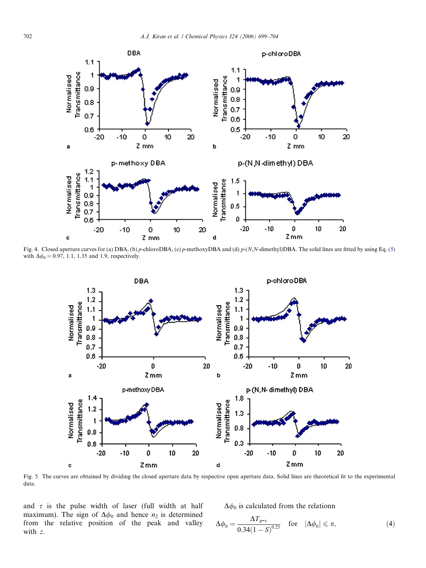<span id="page-3-0"></span>

Fig. 4. Closed aperture curves for (a) DBA, (b) p-chloroDBA, (c) p-methoxyDBA and (d)  $p-(N,N$ -dimethyl)DBA. The solid lines are fitted by using Eq. [\(5\)](#page-4-0) with  $\Delta\phi_0 = 0.97, 1.1, 1.35$  and 1.9, respectively.



Fig. 5. The curves are obtained by dividing the closed aperture data by respective open aperture data. Solid lines are theoretical fit to the experimental data.

and  $\tau$  is the pulse width of laser (full width at half maximum). The sign of  $\Delta\phi_0$  and hence  $n_2$  is determined from the relative position of the peak and valley with z.

 $\Delta\phi_0$  is calculated from the relationn

$$
\Delta\phi_0 = \frac{\Delta T_{\text{p-v}}}{0.34(1-S)^{0.25}} \quad \text{for} \quad |\Delta\phi_0| \leq \pi,\tag{4}
$$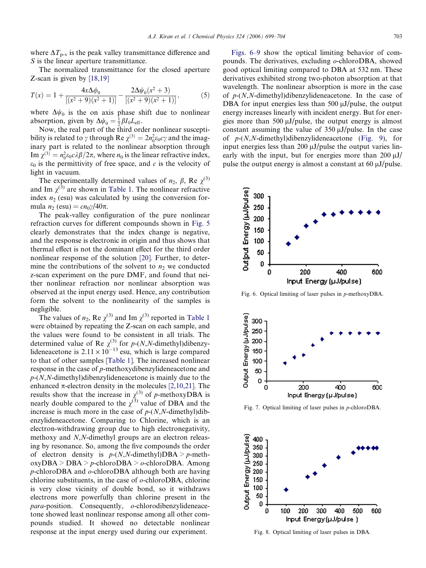<span id="page-4-0"></span>where  $\Delta T_{p-v}$  is the peak valley transmittance difference and S is the linear aperture transmittance.

The normalized transmittance for the closed aperture Z-scan is given by [\[18,19\]](#page-5-0)

$$
T(x) = 1 + \frac{4x\Delta\phi_0}{[(x^2+9)(x^2+1)]} - \frac{2\Delta\psi_0(x^2+3)}{[(x^2+9)(x^2+1)]},
$$
(5)

where  $\Delta\psi_0$  is the on axis phase shift due to nonlinear absorption, given by  $\Delta \psi_0 = \frac{1}{2} \beta I_0 L_{\text{eff}}$ .

Now, the real part of the third order nonlinear susceptibility is related to  $\gamma$  through Re  $\chi^{(3)} = 2n_0^2 \varepsilon_0 c \gamma$  and the imaginary part is related to the nonlinear absorption through Im  $\chi^{(3)} = n_0^2 \varepsilon_0 c \lambda \beta / 2\pi$ , where  $n_0$  is the linear refractive index,  $\varepsilon_0$  is the permittivity of free space, and c is the velocity of light in vacuum.

The experimentally determined values of  $n_2$ ,  $\beta$ , Re  $\chi^{(3)}$ and Im  $\chi^{(3)}$  are shown in [Table 1](#page-2-0). The nonlinear refractive index  $n_2$  (esu) was calculated by using the conversion formula  $n_2$  (esu) =  $cn_0\gamma/40\pi$ .

The peak-valley configuration of the pure nonlinear refraction curves for different compounds shown in [Fig. 5](#page-3-0) clearly demonstrates that the index change is negative, and the response is electronic in origin and thus shows that thermal effect is not the dominant effect for the third order nonlinear response of the solution [\[20\]](#page-5-0). Further, to determine the contributions of the solvent to  $n_2$  we conducted z-scan experiment on the pure DMF, and found that neither nonlinear refraction nor nonlinear absorption was observed at the input energy used. Hence, any contribution form the solvent to the nonlinearity of the samples is negligible.

The values of  $n_2$ , Re  $\chi^{(3)}$  and Im  $\chi^{(3)}$  reported in [Table 1](#page-2-0) were obtained by repeating the Z-scan on each sample, and the values were found to be consistent in all trials. The determined value of Re  $\chi^{(3)}$  for p-(N,N-dimethyl)dibenzylideneacetone is  $2.11 \times 10^{-13}$  esu, which is large compared to that of other samples [[Table 1\]](#page-2-0). The increased nonlinear response in the case of p-methoxydibenzylideneacetone and  $p-(N,N$ -dimethyl)dibenzylideneacetone is mainly due to the enhanced  $\pi$ -electron density in the molecules [\[2,10,21\].](#page-5-0) The results show that the increase in  $\chi^{(3)}$  of p-methoxyDBA is nearly double compared to the  $\chi^{(3)}$  value of DBA and the increase is much more in the case of  $p-(N,N\text{-dimethyl})$ dibenzylideneacetone. Comparing to Chlorine, which is an electron-withdrawing group due to high electronegativity, methoxy and N,N-dimethyl groups are an electron releasing by resonance. So, among the five compounds the order of electron density is  $p-(N,N\text{-dimethyl})\text{DBA} > p\text{-meth}$  $oxyDBA > DBA > p\text{-chloro}DBA > o\text{-chloro}DBA$ . Among p-chloroDBA and o-chloroDBA although both are having chlorine substituents, in the case of  $\theta$ -chloroDBA, chlorine is very close vicinity of double bond, so it withdraws electrons more powerfully than chlorine present in the  $para$ -position. Consequently,  $o$ -chlorodibenzylideneacetone showed least nonlinear response among all other compounds studied. It showed no detectable nonlinear response at the input energy used during our experiment.

Figs. 6–9 show the optical limiting behavior of compounds. The derivatives, excluding o-chloroDBA, showed good optical limiting compared to DBA at 532 nm. These derivatives exhibited strong two-photon absorption at that wavelength. The nonlinear absorption is more in the case of  $p-(N,N$ -dimethyl)dibenzylideneacetone. In the case of DBA for input energies less than  $500 \mu J$ /pulse, the output energy increases linearly with incident energy. But for energies more than 500  $\mu$ J/pulse, the output energy is almost constant assuming the value of  $350 \mu J$ /pulse. In the case of  $p-(N,N$ -dimethyl)dibenzylideneacetone ([Fig. 9](#page-5-0)), for input energies less than  $200 \mu J$ /pulse the output varies linearly with the input, but for energies more than  $200 \mu J$ pulse the output energy is almost a constant at  $60 \mu J$ /pulse.



Fig. 6. Optical limiting of laser pulses in p-methoxyDBA.



Fig. 7. Optical limiting of laser pulses in p-chloroDBA.



Fig. 8. Optical limiting of laser pulses in DBA.